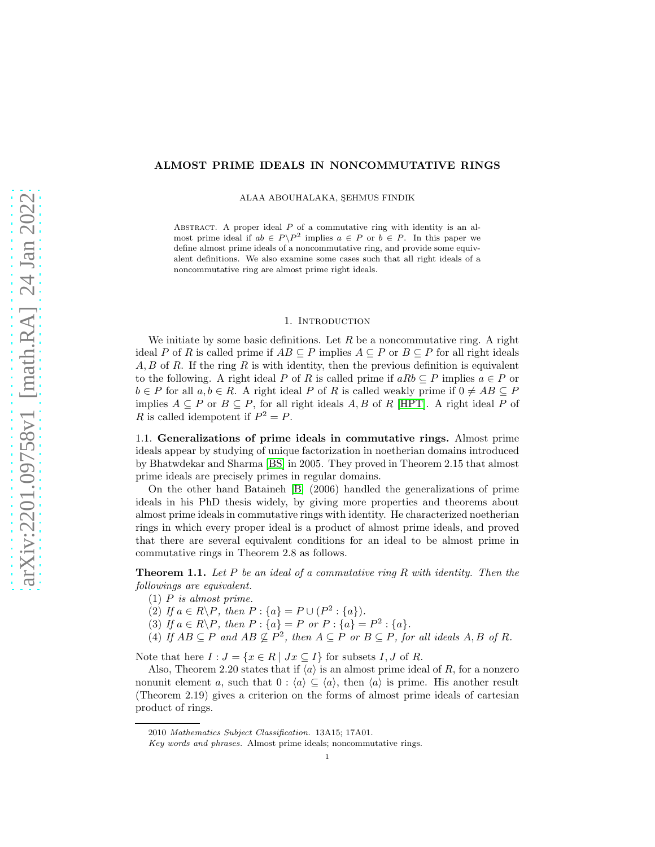# ALMOST PRIME IDEALS IN NONCOMMUTATIVE RINGS

ALAA ABOUHALAKA, SEHMUS FINDIK

ABSTRACT. A proper ideal  $P$  of a commutative ring with identity is an almost prime ideal if  $ab \in P \backslash P^2$  implies  $a \in P$  or  $b \in P$ . In this paper we define almost prime ideals of a noncommutative ring, and provide some equivalent definitions. We also examine some cases such that all right ideals of a noncommutative ring are almost prime right ideals.

#### 1. INTRODUCTION

We initiate by some basic definitions. Let  $R$  be a noncommutative ring. A right ideal P of R is called prime if  $AB \subseteq P$  implies  $A \subseteq P$  or  $B \subseteq P$  for all right ideals  $A, B$  of R. If the ring R is with identity, then the previous definition is equivalent to the following. A right ideal P of R is called prime if  $aRb \subseteq P$  implies  $a \in P$  or  $b \in P$  for all  $a, b \in R$ . A right ideal P of R is called weakly prime if  $0 \neq AB \subseteq P$ implies  $A \subseteq P$  or  $B \subseteq P$ , for all right ideals A, B of R [\[HPT\]](#page-8-0). A right ideal P of R is called idempotent if  $P^2 = P$ .

1.1. Generalizations of prime ideals in commutative rings. Almost prime ideals appear by studying of unique factorization in noetherian domains introduced by Bhatwdekar and Sharma [\[BS\]](#page-8-1) in 2005. They proved in Theorem 2.15 that almost prime ideals are precisely primes in regular domains.

On the other hand Bataineh [\[B\]](#page-8-2) (2006) handled the generalizations of prime ideals in his PhD thesis widely, by giving more properties and theorems about almost prime ideals in commutative rings with identity. He characterized noetherian rings in which every proper ideal is a product of almost prime ideals, and proved that there are several equivalent conditions for an ideal to be almost prime in commutative rings in Theorem 2.8 as follows.

Theorem 1.1. *Let* P *be an ideal of a commutative ring* R *with identity. Then the followings are equivalent.*

- (1) P *is almost prime.*
- (2) If  $a \in R \backslash P$ , then  $P : \{a\} = P \cup (P^2 : \{a\})$ .
- (3) If  $a \in R \backslash P$ , then  $P : \{a\} = P$  or  $P : \{a\} = P^2 : \{a\}.$
- (4) If  $AB \subseteq P$  and  $AB \nsubseteq P^2$ , then  $A \subseteq P$  or  $B \subseteq P$ , for all ideals  $A, B$  of  $R$ .

Note that here  $I : J = \{x \in R \mid Jx \subseteq I\}$  for subsets  $I, J$  of  $R$ .

Also, Theorem 2.20 states that if  $\langle a \rangle$  is an almost prime ideal of R, for a nonzero nonunit element a, such that  $0 : \langle a \rangle \subseteq \langle a \rangle$ , then  $\langle a \rangle$  is prime. His another result (Theorem 2.19) gives a criterion on the forms of almost prime ideals of cartesian product of rings.

<sup>2010</sup> Mathematics Subject Classification. 13A15; 17A01.

Key words and phrases. Almost prime ideals; noncommutative rings.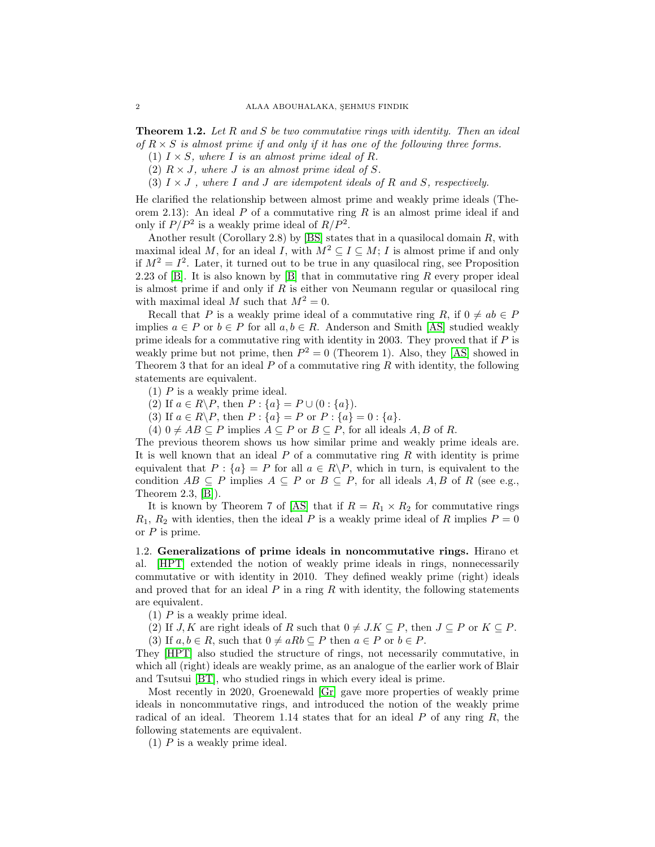Theorem 1.2. *Let* R *and* S *be two commutative rings with identity. Then an ideal of*  $R \times S$  *is almost prime if and only if it has one of the following three forms.* 

- (1)  $I \times S$ *, where I is an almost prime ideal of R.*
- (2)  $R \times J$ *, where J is an almost prime ideal of S.*
- (3)  $I \times J$ , where I and J are idempotent ideals of R and S, respectively.

He clarified the relationship between almost prime and weakly prime ideals (Theorem 2.13): An ideal  $P$  of a commutative ring  $R$  is an almost prime ideal if and only if  $P/P^2$  is a weakly prime ideal of  $R/P^2$ .

Another result (Corollary 2.8) by [\[BS\]](#page-8-1) states that in a quasilocal domain  $R$ , with maximal ideal M, for an ideal I, with  $M^2 \subseteq I \subseteq M$ ; I is almost prime if and only if  $M^2 = I^2$ . Later, it turned out to be true in any quasilocal ring, see Proposition 2.23 of  $[B]$ . It is also known by  $[B]$  that in commutative ring  $R$  every proper ideal is almost prime if and only if  $R$  is either von Neumann regular or quasilocal ring with maximal ideal M such that  $M^2 = 0$ .

Recall that P is a weakly prime ideal of a commutative ring R, if  $0 \neq ab \in P$ implies  $a \in P$  or  $b \in P$  for all  $a, b \in R$ . Anderson and Smith [\[AS\]](#page-8-3) studied weakly prime ideals for a commutative ring with identity in 2003. They proved that if  $P$  is weakly prime but not prime, then  $P^2 = 0$  (Theorem 1). Also, they [\[AS\]](#page-8-3) showed in Theorem 3 that for an ideal  $P$  of a commutative ring  $R$  with identity, the following statements are equivalent.

- (1) P is a weakly prime ideal.
- (2) If  $a \in R \backslash P$ , then  $P : \{a\} = P \cup (0 : \{a\}).$
- (3) If  $a \in R \backslash P$ , then  $P : \{a\} = P$  or  $P : \{a\} = 0 : \{a\}.$

(4)  $0 \neq AB \subseteq P$  implies  $A \subseteq P$  or  $B \subseteq P$ , for all ideals  $A, B$  of R.

The previous theorem shows us how similar prime and weakly prime ideals are. It is well known that an ideal  $P$  of a commutative ring  $R$  with identity is prime equivalent that  $P : \{a\} = P$  for all  $a \in R \backslash P$ , which in turn, is equivalent to the condition  $AB \subseteq P$  implies  $A \subseteq P$  or  $B \subseteq P$ , for all ideals  $A, B$  of R (see e.g., Theorem 2.3, [\[B\]](#page-8-2)).

It is known by Theorem 7 of [\[AS\]](#page-8-3) that if  $R = R_1 \times R_2$  for commutative rings  $R_1, R_2$  with identies, then the ideal P is a weakly prime ideal of R implies  $P = 0$ or  $P$  is prime.

1.2. Generalizations of prime ideals in noncommutative rings. Hirano et al. [\[HPT\]](#page-8-0) extended the notion of weakly prime ideals in rings, nonnecessarily commutative or with identity in 2010. They defined weakly prime (right) ideals and proved that for an ideal  $P$  in a ring  $R$  with identity, the following statements are equivalent.

- (1) P is a weakly prime ideal.
- (2) If J, K are right ideals of R such that  $0 \neq J.K \subseteq P$ , then  $J \subseteq P$  or  $K \subseteq P$ . (3) If  $a, b \in R$ , such that  $0 \neq aRb \subseteq P$  then  $a \in P$  or  $b \in P$ .

They [\[HPT\]](#page-8-0) also studied the structure of rings, not necessarily commutative, in which all (right) ideals are weakly prime, as an analogue of the earlier work of Blair and Tsutsui [\[BT\]](#page-8-4), who studied rings in which every ideal is prime.

Most recently in 2020, Groenewald [\[Gr\]](#page-8-5) gave more properties of weakly prime ideals in noncommutative rings, and introduced the notion of the weakly prime radical of an ideal. Theorem 1.14 states that for an ideal  $P$  of any ring  $R$ , the following statements are equivalent.

(1) P is a weakly prime ideal.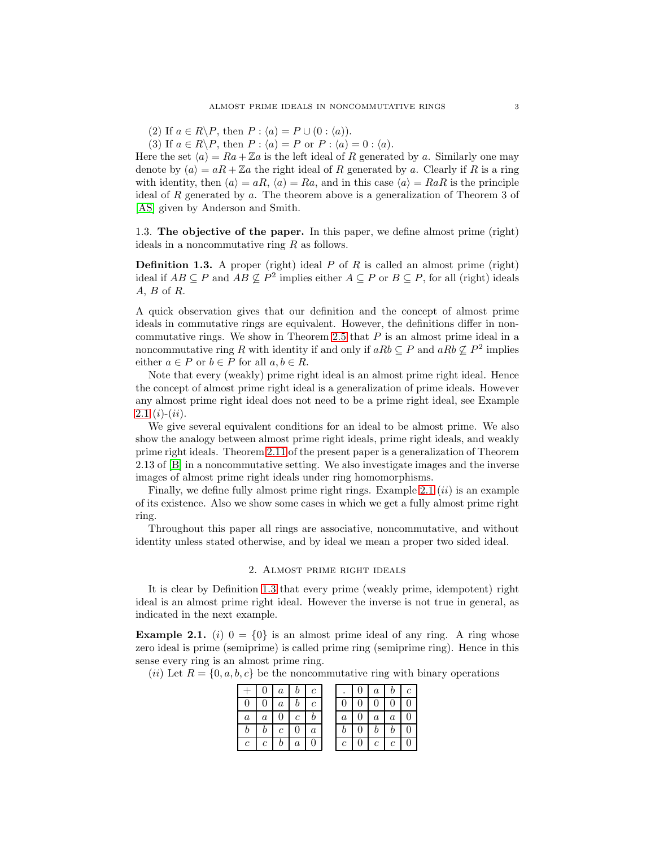(2) If  $a \in R \backslash P$ , then  $P : \langle a \rangle = P \cup (0 : \langle a \rangle)$ .

(3) If  $a \in R \backslash P$ , then  $P : \langle a \rangle = P$  or  $P : \langle a \rangle = 0 : \langle a \rangle$ .

Here the set  $\langle a \rangle = Ra + \mathbb{Z}a$  is the left ideal of R generated by a. Similarly one may denote by  $(a) = aR + \mathbb{Z}a$  the right ideal of R generated by a. Clearly if R is a ring with identity, then  $(a) = aR$ ,  $\langle a \rangle = Ra$ , and in this case  $\langle a \rangle = RaR$  is the principle ideal of R generated by  $\alpha$ . The theorem above is a generalization of Theorem 3 of [\[AS\]](#page-8-3) given by Anderson and Smith.

1.3. The objective of the paper. In this paper, we define almost prime (right) ideals in a noncommutative ring R as follows.

<span id="page-2-1"></span>**Definition 1.3.** A proper (right) ideal  $P$  of  $R$  is called an almost prime (right) ideal if  $AB \subseteq P$  and  $AB \nsubseteq P^2$  implies either  $A \subseteq P$  or  $B \subseteq P$ , for all (right) ideals A, B of R.

A quick observation gives that our definition and the concept of almost prime ideals in commutative rings are equivalent. However, the definitions differ in non-commutative rings. We show in Theorem [2.5](#page-3-0) that  $P$  is an almost prime ideal in a noncommutative ring R with identity if and only if  $aRb \subseteq P$  and  $aRb \nsubseteq P^2$  implies either  $a \in P$  or  $b \in P$  for all  $a, b \in R$ .

Note that every (weakly) prime right ideal is an almost prime right ideal. Hence the concept of almost prime right ideal is a generalization of prime ideals. However any almost prime right ideal does not need to be a prime right ideal, see Example  $2.1(i)-(ii)$  $2.1(i)-(ii)$ .

We give several equivalent conditions for an ideal to be almost prime. We also show the analogy between almost prime right ideals, prime right ideals, and weakly prime right ideals. Theorem [2.11](#page-5-0) of the present paper is a generalization of Theorem 2.13 of [\[B\]](#page-8-2) in a noncommutative setting. We also investigate images and the inverse images of almost prime right ideals under ring homomorphisms.

Finally, we define fully almost prime right rings. Example [2.1](#page-2-0)  $(ii)$  is an example of its existence. Also we show some cases in which we get a fully almost prime right ring.

Throughout this paper all rings are associative, noncommutative, and without identity unless stated otherwise, and by ideal we mean a proper two sided ideal.

## 2. Almost prime right ideals

It is clear by Definition [1.3](#page-2-1) that every prime (weakly prime, idempotent) right ideal is an almost prime right ideal. However the inverse is not true in general, as indicated in the next example.

<span id="page-2-0"></span>**Example 2.1.** (i)  $0 = \{0\}$  is an almost prime ideal of any ring. A ring whose zero ideal is prime (semiprime) is called prime ring (semiprime ring). Hence in this sense every ring is an almost prime ring.

(*ii*) Let  $R = \{0, a, b, c\}$  be the noncommutative ring with binary operations

|                  |                  | $\boldsymbol{a}$ |   | $\epsilon$ |         | $\it a$ | $b^-$          |  |
|------------------|------------------|------------------|---|------------|---------|---------|----------------|--|
| 0                |                  | $\boldsymbol{a}$ |   |            |         |         |                |  |
| $\boldsymbol{a}$ | $\boldsymbol{a}$ |                  | c |            | $\it a$ | $\it a$ | $\overline{a}$ |  |
|                  | v                | c                |   |            |         | 0       |                |  |
| $\mathcal{C}$    | с                |                  | a |            | с       | $\,c$ . | с              |  |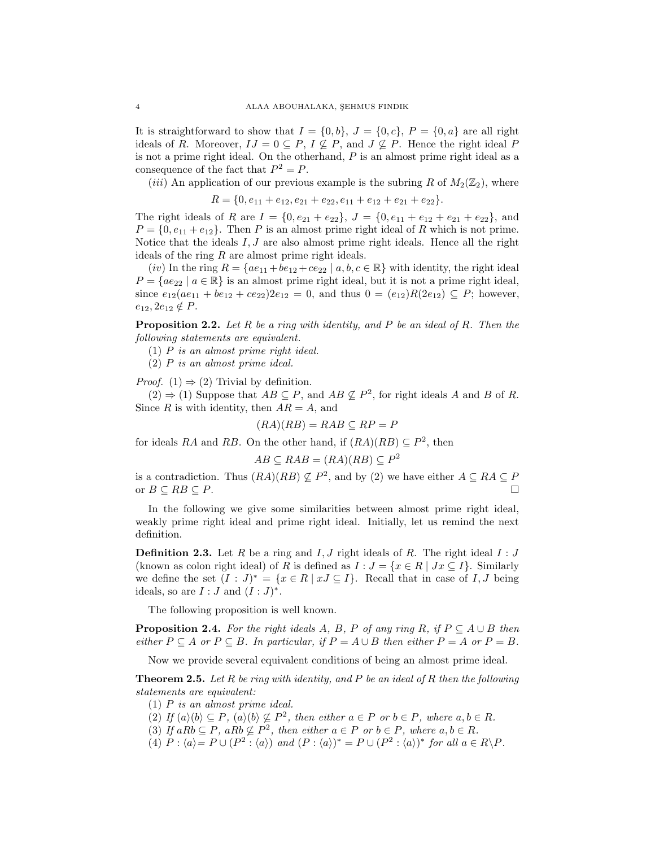It is straightforward to show that  $I = \{0, b\}, J = \{0, c\}, P = \{0, a\}$  are all right ideals of R. Moreover,  $IJ = 0 \subseteq P$ ,  $I \nsubseteq P$ , and  $J \nsubseteq P$ . Hence the right ideal P is not a prime right ideal. On the otherhand,  $P$  is an almost prime right ideal as a consequence of the fact that  $P^2 = P$ .

(*iii*) An application of our previous example is the subring R of  $M_2(\mathbb{Z}_2)$ , where

$$
R = \{0, e_{11} + e_{12}, e_{21} + e_{22}, e_{11} + e_{12} + e_{21} + e_{22}\}.
$$

The right ideals of R are  $I = \{0, e_{21} + e_{22}\}, J = \{0, e_{11} + e_{12} + e_{21} + e_{22}\},\$  and  $P = \{0, e_{11} + e_{12}\}.$  Then P is an almost prime right ideal of R which is not prime. Notice that the ideals  $I, J$  are also almost prime right ideals. Hence all the right ideals of the ring  $R$  are almost prime right ideals.

 $(iv)$  In the ring  $R = \{ae_{11} + be_{12} + ce_{22} \mid a, b, c \in \mathbb{R}\}\$  with identity, the right ideal  $P = \{ae_{22} \mid a \in \mathbb{R}\}\$ is an almost prime right ideal, but it is not a prime right ideal, since  $e_{12}(ae_{11} + be_{12} + ce_{22})2e_{12} = 0$ , and thus  $0 = (e_{12})R(2e_{12}) \subseteq P$ ; however,  $e_{12}, 2e_{12} \notin P$ .

Proposition 2.2. *Let* R *be a ring with identity, and* P *be an ideal of* R*. Then the following statements are equivalent.*

(1) P *is an almost prime right ideal.*

(2) P *is an almost prime ideal.*

*Proof.* (1)  $\Rightarrow$  (2) Trivial by definition.

 $(2) \Rightarrow (1)$  Suppose that  $AB \subseteq P$ , and  $AB \nsubseteq P^2$ , for right ideals A and B of R. Since R is with identity, then  $AR = A$ , and

$$
(RA)(RB) = RAB \subseteq RP = P
$$

for ideals RA and RB. On the other hand, if  $(RA)(RB) \subseteq P^2$ , then

$$
AB \subseteq RAB = (RA)(RB) \subseteq P^2
$$

is a contradiction. Thus  $(RA)(RB) \nsubseteq P^2$ , and by (2) we have either  $A \subseteq RA \subseteq P$ or  $B \subseteq RB \subseteq P$ .

In the following we give some similarities between almost prime right ideal, weakly prime right ideal and prime right ideal. Initially, let us remind the next definition.

**Definition 2.3.** Let R be a ring and I, J right ideals of R. The right ideal  $I : J$ (known as colon right ideal) of R is defined as  $I : J = \{x \in R \mid Jx \subseteq I\}$ . Similarly we define the set  $(I : J)^* = \{x \in R \mid xJ \subseteq I\}$ . Recall that in case of I, J being ideals, so are  $I:J$  and  $(I:J)^*$ .

The following proposition is well known.

<span id="page-3-1"></span>**Proposition 2.4.** For the right ideals A, B, P of any ring R, if  $P \subseteq A \cup B$  then *either*  $P \subseteq A$  *or*  $P \subseteq B$ *. In particular, if*  $P = A \cup B$  *then either*  $P = A$  *or*  $P = B$ *.* 

Now we provide several equivalent conditions of being an almost prime ideal.

<span id="page-3-0"></span>Theorem 2.5. *Let* R *be ring with identity, and* P *be an ideal of* R *then the following statements are equivalent:*

- (1) P *is an almost prime ideal.*
- $(2)$  *If*  $(a)(b) \subseteq P$ ,  $(a)(b) \nsubseteq P^2$ , then either  $a \in P$  or  $b \in P$ , where  $a, b \in R$ .
- (3) If  $aRb \subseteq P$ ,  $aRb \nsubseteq P^2$ , then either  $a \in P$  or  $b \in P$ , where  $a, b \in R$ .
- $(4)$   $P : \langle a \rangle = P \cup (P^2 : \langle a \rangle)$  and  $(P : \langle a \rangle)^* = P \cup (P^2 : \langle a \rangle)^*$  for all  $a \in R \backslash P$ .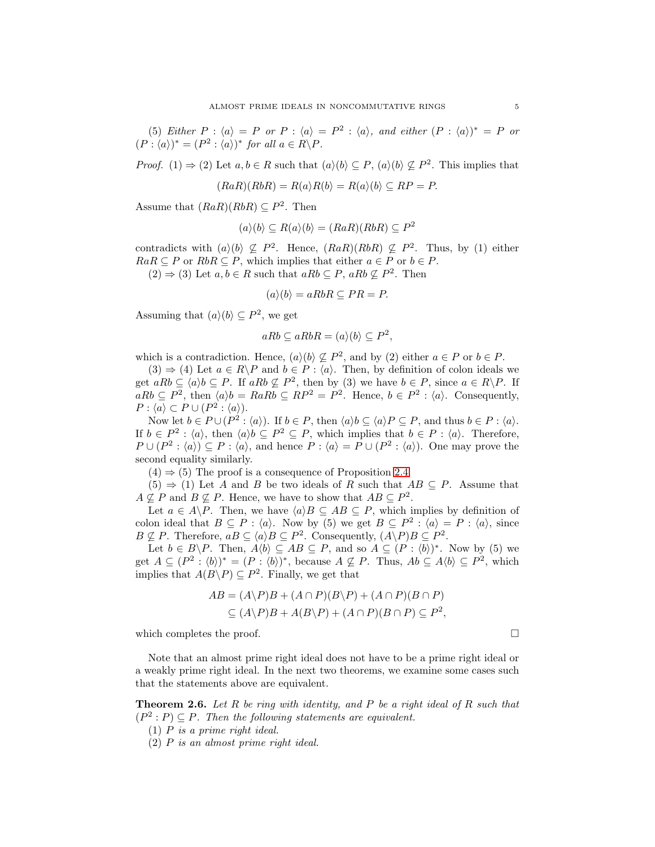(5) *Either*  $P : \langle a \rangle = P$  *or*  $P : \langle a \rangle = P^2 : \langle a \rangle$ , and *either*  $(P : \langle a \rangle)^* = P$  *or*  $(P: \langle a \rangle)^* = (P^2 : \langle a \rangle)^*$  for all  $a \in R \backslash P$ .

*Proof.* (1)  $\Rightarrow$  (2) Let  $a, b \in R$  such that  $(a)(b) \subseteq P$ ,  $(a)(b) \nsubseteq P^2$ . This implies that

$$
(RaR)(RbR) = R(a)R(b) = R(a)(b) \subseteq RP = P.
$$

Assume that  $(RaR)(RbR) \subseteq P^2$ . Then

$$
(a)(b) \subseteq R(a)(b) = (RaR)(RbR) \subseteq P^2
$$

contradicts with  $(a)(b) \not\subseteq P^2$ . Hence,  $(RaR)(RbR) \not\subseteq P^2$ . Thus, by (1) either  $RaR \subseteq P$  or  $RbR \subseteq P$ , which implies that either  $a \in P$  or  $b \in P$ .

 $(2) \Rightarrow (3)$  Let  $a, b \in R$  such that  $aRb \subseteq P$ ,  $aRb \nsubseteq P^2$ . Then

$$
(a)(b) = aRbR \subseteq PR = P.
$$

Assuming that  $(a)(b) \subseteq P^2$ , we get

$$
aRb \subseteq aRbR = (a)(b) \subseteq P^2,
$$

which is a contradiction. Hence,  $(a)(b) \nsubseteq P^2$ , and by (2) either  $a \in P$  or  $b \in P$ .

 $(3) \Rightarrow (4)$  Let  $a \in R \backslash P$  and  $b \in P : \langle a \rangle$ . Then, by definition of colon ideals we get  $aRb \subseteq \langle a \rangle b \subseteq P$ . If  $aRb \nsubseteq P^2$ , then by (3) we have  $b \in P$ , since  $a \in R \backslash P$ . If  $aRb \subseteq P^2$ , then  $\langle a \rangle b = RaRb \subseteq RP^2 = P^2$ . Hence,  $b \in P^2 : \langle a \rangle$ . Consequently,  $P: \langle a \rangle \subset P \cup (P^2: \langle a \rangle).$ 

Now let  $b \in P \cup (P^2 : \langle a \rangle)$ . If  $b \in P$ , then  $\langle a \rangle b \subseteq \langle a \rangle P \subseteq P$ , and thus  $b \in P : \langle a \rangle$ . If  $b \in P^2$ :  $\langle a \rangle$ , then  $\langle a \rangle b \subseteq P^2 \subseteq P$ , which implies that  $b \in P$ :  $\langle a \rangle$ . Therefore,  $P \cup (P^2 : \langle a \rangle) \subseteq P : \langle a \rangle$ , and hence  $P : \langle a \rangle = P \cup (P^2 : \langle a \rangle)$ . One may prove the second equality similarly.

 $(4) \Rightarrow (5)$  The proof is a consequence of Proposition [2.4.](#page-3-1)

 $(5) \Rightarrow (1)$  Let A and B be two ideals of R such that  $AB \subseteq P$ . Assume that  $A \nsubseteq P$  and  $B \nsubseteq P$ . Hence, we have to show that  $AB \subseteq P^2$ .

Let  $a \in A \backslash P$ . Then, we have  $\langle a \rangle B \subseteq AB \subseteq P$ , which implies by definition of colon ideal that  $B \subseteq P : \langle a \rangle$ . Now by (5) we get  $B \subseteq P^2 : \langle a \rangle = P : \langle a \rangle$ , since  $B \nsubseteq P$ . Therefore,  $aB \subseteq \langle a \rangle B \subseteq P^2$ . Consequently,  $(A \backslash P)B \subseteq P^2$ .

Let  $b \in B \backslash P$ . Then,  $A \langle b \rangle \subseteq AB \subseteq P$ , and so  $A \subseteq (P : \langle b \rangle)^*$ . Now by (5) we get  $A \subseteq (P^2 : \langle b \rangle)^* = (P : \langle b \rangle)^*$ , because  $A \nsubseteq P$ . Thus,  $Ab \subseteq A \langle b \rangle \subseteq P^2$ , which implies that  $A(B \backslash P) \subseteq P^2$ . Finally, we get that

$$
AB = (A \backslash P)B + (A \cap P)(B \backslash P) + (A \cap P)(B \cap P)
$$
  
\n
$$
\subseteq (A \backslash P)B + A(B \backslash P) + (A \cap P)(B \cap P) \subseteq P^2,
$$

which completes the proof.  $\Box$ 

Note that an almost prime right ideal does not have to be a prime right ideal or a weakly prime right ideal. In the next two theorems, we examine some cases such that the statements above are equivalent.

Theorem 2.6. *Let* R *be ring with identity, and* P *be a right ideal of* R *such that*  $(P^2 : P) \subseteq P$ . Then the following statements are equivalent.

- (1) P *is a prime right ideal.*
- (2) P *is an almost prime right ideal.*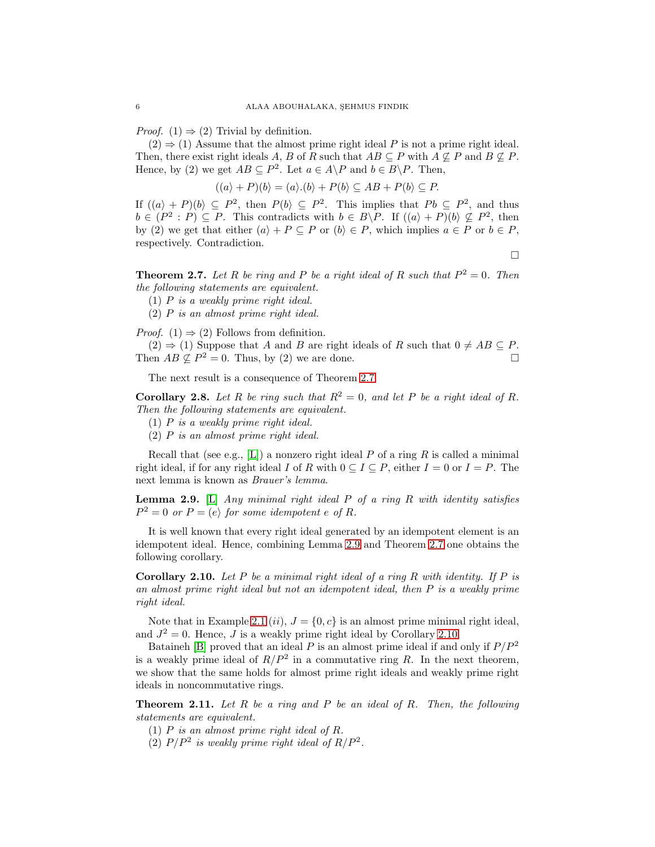*Proof.* (1)  $\Rightarrow$  (2) Trivial by definition.

 $(2) \Rightarrow (1)$  Assume that the almost prime right ideal P is not a prime right ideal. Then, there exist right ideals A, B of R such that  $AB \subseteq P$  with  $A \nsubseteq P$  and  $B \nsubseteq P$ . Hence, by (2) we get  $AB \subseteq P^2$ . Let  $a \in A \backslash P$  and  $b \in B \backslash P$ . Then,

$$
((a) + P)(b) = (a) \cdot (b) + P(b) \subseteq AB + P(b) \subseteq P.
$$

If  $((a) + P)(b) \subseteq P^2$ , then  $P(b) \subseteq P^2$ . This implies that  $Pb \subseteq P^2$ , and thus  $b \in (P^2 : P) \subseteq P$ . This contradicts with  $b \in B \backslash P$ . If  $((a) + P)(b) \nsubseteq P^2$ , then by (2) we get that either  $(a) + P \subseteq P$  or  $(b) \in P$ , which implies  $a \in P$  or  $b \in P$ , respectively. Contradiction.

 $\Box$ 

<span id="page-5-1"></span>**Theorem 2.7.** Let R be ring and P be a right ideal of R such that  $P^2 = 0$ . Then *the following statements are equivalent.*

(1) P *is a weakly prime right ideal.*

(2) P *is an almost prime right ideal.*

*Proof.* (1)  $\Rightarrow$  (2) Follows from definition.

 $(2) \Rightarrow (1)$  Suppose that A and B are right ideals of R such that  $0 \neq AB \subseteq P$ . Then  $AB \nsubseteq P^2 = 0$ . Thus, by (2) we are done.

The next result is a consequence of Theorem [2.7.](#page-5-1)

<span id="page-5-4"></span>**Corollary 2.8.** Let R be ring such that  $R^2 = 0$ , and let P be a right ideal of R. *Then the following statements are equivalent.*

- (1) P *is a weakly prime right ideal.*
- (2) P *is an almost prime right ideal.*

Recall that (see e.g., [\[L\]](#page-8-6)) a nonzero right ideal P of a ring R is called a minimal right ideal, if for any right ideal I of R with  $0 \subseteq I \subseteq P$ , either  $I = 0$  or  $I = P$ . The next lemma is known as *Brauer's lemma*.

<span id="page-5-2"></span>Lemma 2.9. [\[L\]](#page-8-6) *Any minimal right ideal* P *of a ring* R *with identity satisfies*  $P^2 = 0$  *or*  $P = \langle e \rangle$  for some idempotent e of R.

It is well known that every right ideal generated by an idempotent element is an idempotent ideal. Hence, combining Lemma [2.9](#page-5-2) and Theorem [2.7](#page-5-1) one obtains the following corollary.

<span id="page-5-3"></span>Corollary 2.10. *Let* P *be a minimal right ideal of a ring* R *with identity. If* P *is an almost prime right ideal but not an idempotent ideal, then* P *is a weakly prime right ideal.*

Note that in Example [2.1](#page-2-0) (ii),  $J = \{0, c\}$  is an almost prime minimal right ideal, and  $J^2 = 0$ . Hence, J is a weakly prime right ideal by Corollary [2.10.](#page-5-3)

Bataineh [\[B\]](#page-8-2) proved that an ideal  $P$  is an almost prime ideal if and only if  $P/P^2$ is a weakly prime ideal of  $R/P^2$  in a commutative ring R. In the next theorem, we show that the same holds for almost prime right ideals and weakly prime right ideals in noncommutative rings.

<span id="page-5-0"></span>Theorem 2.11. *Let* R *be a ring and* P *be an ideal of* R*. Then, the following statements are equivalent.*

- (1) P *is an almost prime right ideal of* R*.*
- (2)  $P/P^2$  is weakly prime right ideal of  $R/P^2$ .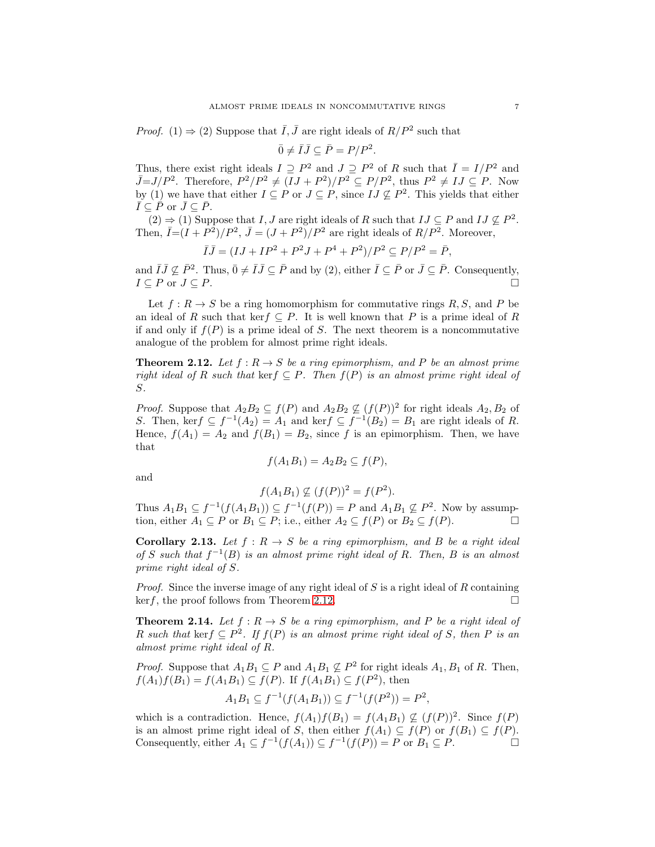*Proof.* (1)  $\Rightarrow$  (2) Suppose that  $\overline{I}, \overline{J}$  are right ideals of  $R/P^2$  such that

$$
\bar{0} \neq \bar{I}\bar{J} \subseteq \bar{P} = P/P^2.
$$

Thus, there exist right ideals  $I \supseteq P^2$  and  $J \supseteq P^2$  of R such that  $\overline{I} = I/P^2$  and  $\overline{J}=J/P^2$ . Therefore,  $P^2/P^2 \neq (IJ+P^2)/P^2 \subseteq P/P^2$ , thus  $P^2 \neq IJ \subseteq P$ . Now by (1) we have that either  $I \subseteq P$  or  $J \subseteq P$ , since  $IJ \nsubseteq P^2$ . This yields that either  $\overline{I} \subseteq \overline{P}$  or  $\overline{J} \subseteq \overline{P}$ .

 $(2)$  ⇒ (1) Suppose that *I*, *J* are right ideals of *R* such that  $IJ \subseteq P$  and  $IJ \nsubseteq P^2$ . Then,  $\overline{I}=(I+P^2)/P^2$ ,  $\overline{J}=(J+P^2)/P^2$  are right ideals of  $R/P^2$ . Moreover,

$$
\bar{I}\bar{J} = (IJ + IP^2 + P^2J + P^4 + P^2)/P^2 \subseteq P/P^2 = \bar{P},
$$

and  $\overline{I}\overline{J}\nsubseteq \overline{P}^2$ . Thus,  $\overline{0}\neq \overline{I}\overline{J}\subseteq \overline{P}$  and by (2), either  $\overline{I}\subseteq \overline{P}$  or  $\overline{J}\subseteq \overline{P}$ . Consequently,  $I \subseteq P$  or  $J \subseteq P$ .

Let  $f: R \to S$  be a ring homomorphism for commutative rings  $R, S$ , and P be an ideal of R such that kerf  $\subseteq P$ . It is well known that P is a prime ideal of R if and only if  $f(P)$  is a prime ideal of S. The next theorem is a noncommutative analogue of the problem for almost prime right ideals.

<span id="page-6-0"></span>**Theorem 2.12.** Let  $f: R \to S$  be a ring epimorphism, and P be an almost prime *right ideal of* R *such that* kerf  $\subseteq P$ *. Then*  $f(P)$  *is an almost prime right ideal of* S*.*

*Proof.* Suppose that  $A_2B_2 \subseteq f(P)$  and  $A_2B_2 \nsubseteq (f(P))^2$  for right ideals  $A_2, B_2$  of S. Then, kerf  $\subseteq f^{-1}(A_2) = A_1$  and kerf  $\subseteq f^{-1}(B_2) = B_1$  are right ideals of R. Hence,  $f(A_1) = A_2$  and  $f(B_1) = B_2$ , since f is an epimorphism. Then, we have that

$$
f(A_1B_1) = A_2B_2 \subseteq f(P),
$$

and

$$
f(A_1B_1) \nsubseteq (f(P))^2 = f(P^2).
$$

Thus  $A_1B_1 \subseteq f^{-1}(f(A_1B_1)) \subseteq f^{-1}(f(P)) = P$  and  $A_1B_1 \nsubseteq P^2$ . Now by assumption, either  $A_1 \subseteq P$  or  $B_1 \subseteq P$ ; i.e., either  $A_2 \subseteq f(P)$  or  $B_2 \subseteq f(P)$ .

Corollary 2.13. Let  $f : R \to S$  be a ring epimorphism, and B be a right ideal of S such that  $f^{-1}(B)$  is an almost prime right ideal of R. Then, B is an almost *prime right ideal of* S*.*

*Proof.* Since the inverse image of any right ideal of S is a right ideal of R containing  $\ker f$ , the proof follows from Theorem [2.12.](#page-6-0)

<span id="page-6-1"></span>**Theorem 2.14.** Let  $f: R \to S$  be a ring epimorphism, and P be a right ideal of R such that kerf  $\subseteq P^2$ . If  $f(P)$  is an almost prime right ideal of S, then P is an *almost prime right ideal of* R*.*

*Proof.* Suppose that  $A_1B_1 \subseteq P$  and  $A_1B_1 \nsubseteq P^2$  for right ideals  $A_1, B_1$  of R. Then,  $f(A_1)f(B_1) = f(A_1B_1) \subseteq f(P)$ . If  $f(A_1B_1) \subseteq f(P^2)$ , then

$$
A_1B_1 \subseteq f^{-1}(f(A_1B_1)) \subseteq f^{-1}(f(P^2)) = P^2,
$$

which is a contradiction. Hence,  $f(A_1)f(B_1) = f(A_1B_1) \nsubseteq (f(P))^2$ . Since  $f(P)$ is an almost prime right ideal of S, then either  $f(A_1) \subseteq f(P)$  or  $f(B_1) \subseteq f(P)$ . Consequently, either  $A_1 \subseteq f^{-1}(f(A_1)) \subseteq f^{-1}(f(P)) = P$  or  $B_1 \subseteq P$ .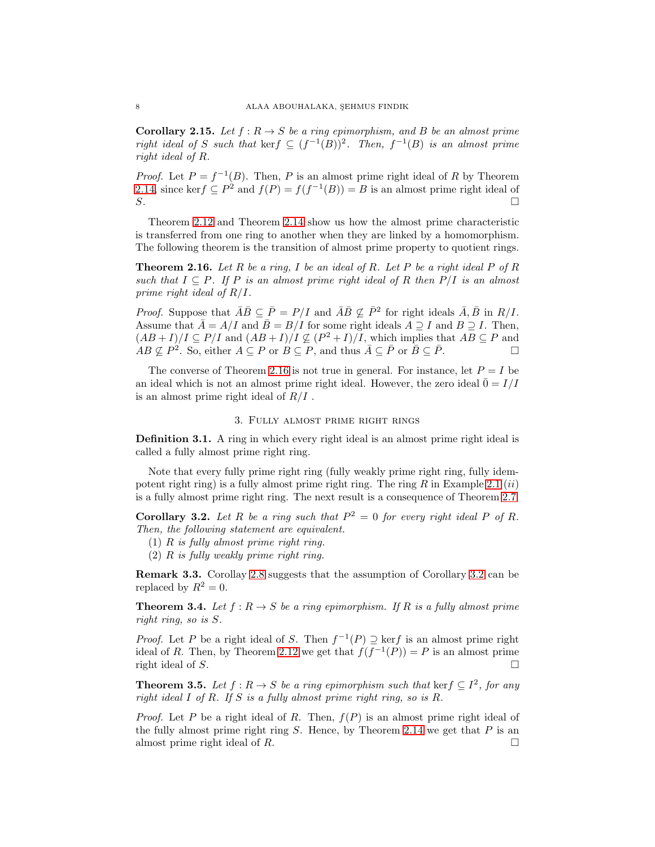**Corollary 2.15.** *Let*  $f : R \to S$  *be a ring epimorphism, and*  $B$  *be an almost prime right ideal of* S *such that* kerf  $\subseteq (f^{-1}(B))^2$ . Then,  $f^{-1}(B)$  *is an almost prime right ideal of* R*.*

*Proof.* Let  $P = f^{-1}(B)$ . Then, P is an almost prime right ideal of R by Theorem [2.14,](#page-6-1) since ker $f \subseteq P^2$  and  $f(P) = f(f^{-1}(B)) = B$  is an almost prime right ideal of  $S$ .

Theorem [2.12](#page-6-0) and Theorem [2.14](#page-6-1) show us how the almost prime characteristic is transferred from one ring to another when they are linked by a homomorphism. The following theorem is the transition of almost prime property to quotient rings.

<span id="page-7-0"></span>Theorem 2.16. *Let* R *be a ring,* I *be an ideal of* R*. Let* P *be a right ideal* P *of* R *such that*  $I \subseteq P$ *. If* P *is an almost prime right ideal of* R *then*  $P/I$  *is an almost prime right ideal of* R/I*.*

*Proof.* Suppose that  $\overline{A}\overline{B} \subseteq \overline{P} = P/I$  and  $\overline{A}\overline{B} \nsubseteq \overline{P}^2$  for right ideals  $\overline{A}, \overline{B}$  in  $R/I$ . Assume that  $\bar{A} = A/I$  and  $\bar{B} = B/I$  for some right ideals  $A \supseteq I$  and  $B \supseteq I$ . Then,  $(AB+I)/I \subseteq P/I$  and  $(AB+I)/I \nsubseteq (P^2+I)/I$ , which implies that  $AB \subseteq P$  and  $AB \nsubseteq P^2$ . So, either  $A \subseteq P$  or  $B \subseteq P$ , and thus  $\overline{A} \subseteq \overline{P}$  or  $\overline{B} \subseteq \overline{P}$ .

The converse of Theorem [2.16](#page-7-0) is not true in general. For instance, let  $P = I$  be an ideal which is not an almost prime right ideal. However, the zero ideal  $\bar{0} = I/I$ is an almost prime right ideal of  $R/I$ .

### 3. Fully almost prime right rings

Definition 3.1. A ring in which every right ideal is an almost prime right ideal is called a fully almost prime right ring.

Note that every fully prime right ring (fully weakly prime right ring, fully idempotent right ring) is a fully almost prime right ring. The ring  $R$  in Example [2.1](#page-2-0) *(ii)* is a fully almost prime right ring. The next result is a consequence of Theorem [2.7.](#page-5-1)

<span id="page-7-1"></span>**Corollary 3.2.** Let R be a ring such that  $P^2 = 0$  for every right ideal P of R. *Then, the following statement are equivalent.*

- (1) R *is fully almost prime right ring.*
- (2) R *is fully weakly prime right ring.*

Remark 3.3. Corollay [2.8](#page-5-4) suggests that the assumption of Corollary [3.2](#page-7-1) can be replaced by  $R^2 = 0$ .

**Theorem 3.4.** Let  $f: R \to S$  be a ring epimorphism. If R is a fully almost prime *right ring, so is* S*.*

*Proof.* Let P be a right ideal of S. Then  $f^{-1}(P) \supseteq \text{ker } f$  is an almost prime right ideal of R. Then, by Theorem [2.12](#page-6-0) we get that  $f(f^{-1}(P)) = P$  is an almost prime right ideal of S.  $\Box$ 

**Theorem 3.5.** *Let*  $f : R \to S$  *be a ring epimorphism such that* ker $f \subseteq I^2$ *, for any right ideal* I *of* R*. If* S *is a fully almost prime right ring, so is* R*.*

*Proof.* Let P be a right ideal of R. Then,  $f(P)$  is an almost prime right ideal of the fully almost prime right ring  $S$ . Hence, by Theorem [2.14](#page-6-1) we get that  $P$  is an almost prime right ideal of R.